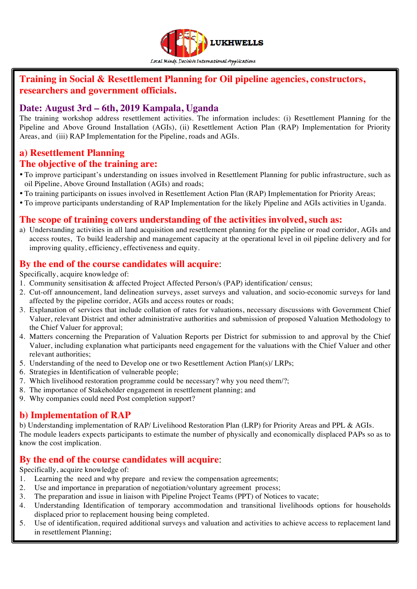

## **Training in Social & Resettlement Planning for Oil pipeline agencies, constructors, researchers and government officials.**

### **Date: August 3rd – 6th, 2019 Kampala, Uganda**

The training workshop address resettlement activities. The information includes: (i) Resettlement Planning for the Pipeline and Above Ground Installation (AGIs), (ii) Resettlement Action Plan (RAP) Implementation for Priority Areas, and (iii) RAP Implementation for the Pipeline, roads and AGIs.

# **a) Resettlement Planning**

#### **The objective of the training are:**

- To improve participant's understanding on issues involved in Resettlement Planning for public infrastructure, such as oil Pipeline, Above Ground Installation (AGIs) and roads;
- To training participants on issues involved in Resettlement Action Plan (RAP) Implementation for Priority Areas;
- To improve participants understanding of RAP Implementation for the likely Pipeline and AGIs activities in Uganda.

### **The scope of training covers understanding of the activities involved, such as:**

a) Understanding activities in all land acquisition and resettlement planning for the pipeline or road corridor, AGIs and access routes, To build leadership and management capacity at the operational level in oil pipeline delivery and for improving quality, efficiency, effectiveness and equity.

### **By the end of the course candidates will acquire**:

Specifically, acquire knowledge of:

- 1. Community sensitisation & affected Project Affected Person/s (PAP) identification/ census;
- 2. Cut-off announcement, land delineation surveys, asset surveys and valuation, and socio-economic surveys for land affected by the pipeline corridor, AGIs and access routes or roads;
- 3. Explanation of services that include collation of rates for valuations, necessary discussions with Government Chief Valuer, relevant District and other administrative authorities and submission of proposed Valuation Methodology to the Chief Valuer for approval;
- 4. Matters concerning the Preparation of Valuation Reports per District for submission to and approval by the Chief Valuer, including explanation what participants need engagement for the valuations with the Chief Valuer and other relevant authorities;
- 5. Understanding of the need to Develop one or two Resettlement Action Plan(s)/ LRPs;
- 6. Strategies in Identification of vulnerable people;
- 7. Which livelihood restoration programme could be necessary? why you need them/?;
- 8. The importance of Stakeholder engagement in resettlement planning; and
- 9. Why companies could need Post completion support?

### **b) Implementation of RAP**

b) Understanding implementation of RAP/ Livelihood Restoration Plan (LRP) for Priority Areas and PPL & AGIs. The module leaders expects participants to estimate the number of physically and economically displaced PAPs so as to know the cost implication.

### **By the end of the course candidates will acquire**:

Specifically, acquire knowledge of:

- 1. Learning the need and why prepare and review the compensation agreements;
- 2. Use and importance in preparation of negotiation/voluntary agreement process;
- 3. The preparation and issue in liaison with Pipeline Project Teams (PPT) of Notices to vacate;
- 4. Understanding Identification of temporary accommodation and transitional livelihoods options for households displaced prior to replacement housing being completed.
- 5. Use of identification, required additional surveys and valuation and activities to achieve access to replacement land in resettlement Planning;